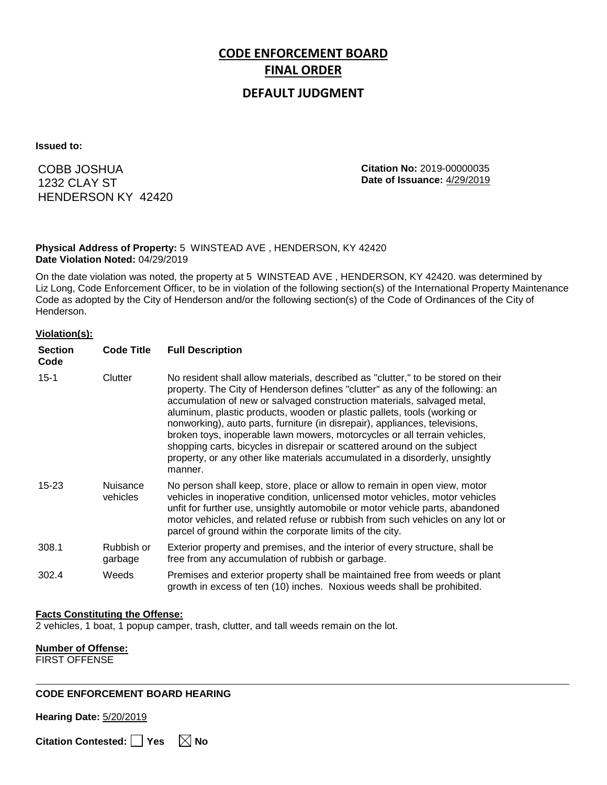# **CODE ENFORCEMENT BOARD FINAL ORDER**

### **DEFAULT JUDGMENT**

**Issued to:**

COBB JOSHUA 1232 CLAY ST HENDERSON KY 42420 **Citation No:** 2019-00000035 **Date of Issuance:** 4/29/2019

#### **Physical Address of Property:** 5 WINSTEAD AVE , HENDERSON, KY 42420 **Date Violation Noted:** 04/29/2019

On the date violation was noted, the property at 5 WINSTEAD AVE , HENDERSON, KY 42420. was determined by Liz Long, Code Enforcement Officer, to be in violation of the following section(s) of the International Property Maintenance Code as adopted by the City of Henderson and/or the following section(s) of the Code of Ordinances of the City of Henderson.

#### **Violation(s):**

| <b>Section</b><br>Code | <b>Code Title</b>     | <b>Full Description</b>                                                                                                                                                                                                                                                                                                                                                                                                                                                                                                                                                                                                                                     |
|------------------------|-----------------------|-------------------------------------------------------------------------------------------------------------------------------------------------------------------------------------------------------------------------------------------------------------------------------------------------------------------------------------------------------------------------------------------------------------------------------------------------------------------------------------------------------------------------------------------------------------------------------------------------------------------------------------------------------------|
| $15 - 1$               | Clutter               | No resident shall allow materials, described as "clutter," to be stored on their<br>property. The City of Henderson defines "clutter" as any of the following: an<br>accumulation of new or salvaged construction materials, salvaged metal,<br>aluminum, plastic products, wooden or plastic pallets, tools (working or<br>nonworking), auto parts, furniture (in disrepair), appliances, televisions,<br>broken toys, inoperable lawn mowers, motorcycles or all terrain vehicles,<br>shopping carts, bicycles in disrepair or scattered around on the subject<br>property, or any other like materials accumulated in a disorderly, unsightly<br>manner. |
| 15-23                  | Nuisance<br>vehicles  | No person shall keep, store, place or allow to remain in open view, motor<br>vehicles in inoperative condition, unlicensed motor vehicles, motor vehicles<br>unfit for further use, unsightly automobile or motor vehicle parts, abandoned<br>motor vehicles, and related refuse or rubbish from such vehicles on any lot or<br>parcel of ground within the corporate limits of the city.                                                                                                                                                                                                                                                                   |
| 308.1                  | Rubbish or<br>garbage | Exterior property and premises, and the interior of every structure, shall be<br>free from any accumulation of rubbish or garbage.                                                                                                                                                                                                                                                                                                                                                                                                                                                                                                                          |
| 302.4                  | Weeds                 | Premises and exterior property shall be maintained free from weeds or plant<br>growth in excess of ten (10) inches. Noxious weeds shall be prohibited.                                                                                                                                                                                                                                                                                                                                                                                                                                                                                                      |

#### **Facts Constituting the Offense:**

2 vehicles, 1 boat, 1 popup camper, trash, clutter, and tall weeds remain on the lot.

### **Number of Offense:**

FIRST OFFENSE

#### **CODE ENFORCEMENT BOARD HEARING**

**Hearing Date:** 5/20/2019

**Citation Contested:** ■ Yes  $\ \ \ \ \ \ \ \ \ \ \ \ \ \ \ \ \ \$  No